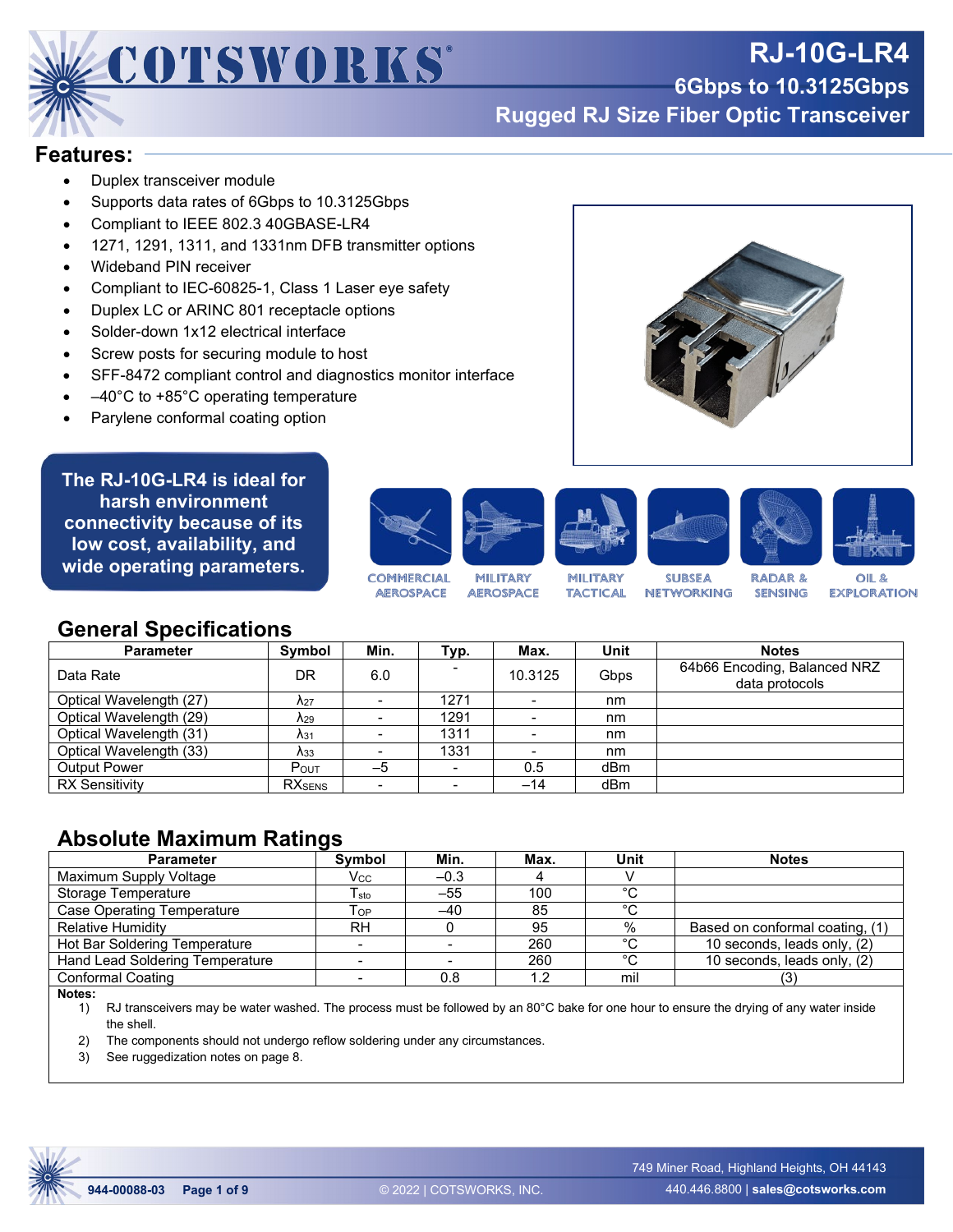

# **RJ-10G-LR4**

**6Gbps to 10.3125Gbps**

**Rugged RJ Size Fiber Optic Transceiver**

#### **Features:**

- Duplex transceiver module
- Supports data rates of 6Gbps to 10.3125Gbps
- Compliant to IEEE 802.3 40GBASE-LR4
- 1271, 1291, 1311, and 1331nm DFB transmitter options
- Wideband PIN receiver
- Compliant to IEC-60825-1, Class 1 Laser eye safety
- Duplex LC or ARINC 801 receptacle options
- Solder-down 1x12 electrical interface
- Screw posts for securing module to host
- SFF-8472 compliant control and diagnostics monitor interface
- $-40^{\circ}$ C to +85 $^{\circ}$ C operating temperature
- Parylene conformal coating option

**The RJ-10G-LR4 is ideal for harsh environment connectivity because of its low cost, availability, and wide operating parameters.**











**COMMERCIAL MILITARY AEROSPACE AEROSPACE** 

MILITARY **TACTICAL** 

**SUBSEA NETWORKING** 

**RADAR & SENSING** 

OIL<sup>8</sup> **EXPLORATION** 

### **General Specifications**

| <b>Parameter</b>        | Symbol                  | Min. | Typ.           | Max.            | Unit | <b>Notes</b>                                   |
|-------------------------|-------------------------|------|----------------|-----------------|------|------------------------------------------------|
| Data Rate               | DR                      | 6.0  |                | 10.3125         | Gbps | 64b66 Encoding, Balanced NRZ<br>data protocols |
| Optical Wavelength (27) | $\Lambda_{27}$          |      | 1271           |                 | nm   |                                                |
| Optical Wavelength (29) | $\lambda_{29}$          |      | 1291           |                 | nm   |                                                |
| Optical Wavelength (31) | A <sub>31</sub>         |      | 1311           | $\qquad \qquad$ | nm   |                                                |
| Optical Wavelength (33) | $\lambda$ <sub>33</sub> |      | 1331           | -               | nm   |                                                |
| <b>Output Power</b>     | POUT                    | $-5$ | $\blacksquare$ | 0.5             | dBm  |                                                |
| <b>RX Sensitivity</b>   | <b>RX</b> SENS          |      |                | $-14$           | dBm  |                                                |

#### **Absolute Maximum Ratings**

| <b>Parameter</b>                | Symbol    | Min.   | Max. | Unit   | <b>Notes</b>                    |
|---------------------------------|-----------|--------|------|--------|---------------------------------|
| Maximum Supply Voltage          | Vcc       | $-0.3$ |      |        |                                 |
| Storage Temperature             | sto       | $-55$  | 100  | $\sim$ |                                 |
| Case Operating Temperature      | Тор       | $-40$  | 85   | ∘∩     |                                 |
| <b>Relative Humidity</b>        | <b>RH</b> |        | 95   | $\%$   | Based on conformal coating, (1) |
| Hot Bar Soldering Temperature   |           |        | 260  | ∘∩     | 10 seconds, leads only, (2)     |
| Hand Lead Soldering Temperature |           |        | 260  | $\sim$ | 10 seconds, leads only, (2)     |
| <b>Conformal Coating</b>        |           | 0.8    | 1.2  | mil    | (3)                             |

**Notes:**

1) RJ transceivers may be water washed. The process must be followed by an 80°C bake for one hour to ensure the drying of any water inside the shell.

2) The components should not undergo reflow soldering under any circumstances.

3) See ruggedization notes on page 8.

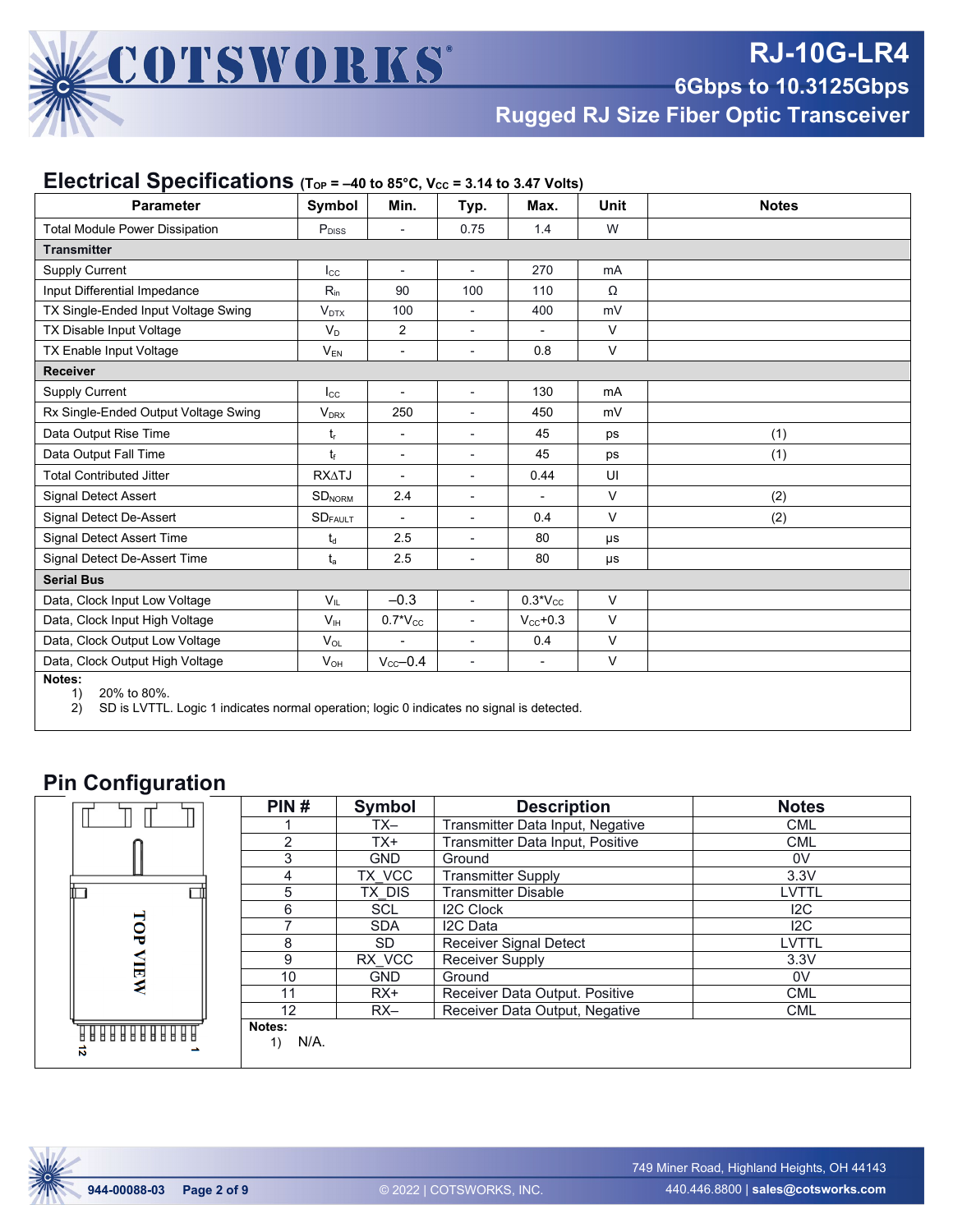

**6Gbps to 10.3125Gbps**

**Rugged RJ Size Fiber Optic Transceiver**

| <b>Parameter</b>                                                                                                              | Symbol                     | Min.                     | Typ.                     | Max.                     | Unit           | <b>Notes</b> |  |  |  |
|-------------------------------------------------------------------------------------------------------------------------------|----------------------------|--------------------------|--------------------------|--------------------------|----------------|--------------|--|--|--|
| <b>Total Module Power Dissipation</b>                                                                                         | $\mathsf{P}_{\text{DISS}}$ |                          | 0.75                     | 1.4                      | W              |              |  |  |  |
| <b>Transmitter</b>                                                                                                            |                            |                          |                          |                          |                |              |  |  |  |
| <b>Supply Current</b>                                                                                                         | $_{\rm lcc}$               | $\blacksquare$           | $\overline{\phantom{a}}$ | 270                      | mA             |              |  |  |  |
| Input Differential Impedance                                                                                                  | $R_{in}$                   | 90                       | 100                      | 110                      | Ω              |              |  |  |  |
| TX Single-Ended Input Voltage Swing                                                                                           | $V_{DTX}$                  | 100                      |                          | 400                      | mV             |              |  |  |  |
| TX Disable Input Voltage                                                                                                      | $V_D$                      | $\overline{2}$           | $\overline{\phantom{0}}$ | $\overline{\phantom{0}}$ | V              |              |  |  |  |
| TX Enable Input Voltage                                                                                                       | $V_{EN}$                   |                          | $\blacksquare$           | 0.8                      | $\vee$         |              |  |  |  |
| <b>Receiver</b>                                                                                                               |                            |                          |                          |                          |                |              |  |  |  |
| Supply Current                                                                                                                | $I_{\rm CC}$               |                          | $\blacksquare$           | 130                      | m <sub>A</sub> |              |  |  |  |
| Rx Single-Ended Output Voltage Swing                                                                                          | <b>V<sub>DRX</sub></b>     | 250                      | $\overline{a}$           | 450                      | mV             |              |  |  |  |
| Data Output Rise Time                                                                                                         | t,                         | $\blacksquare$           | $\overline{\phantom{0}}$ | 45                       | ps             | (1)          |  |  |  |
| Data Output Fall Time                                                                                                         | t                          | $\overline{\phantom{a}}$ | ٠                        | 45                       | ps             | (1)          |  |  |  |
| <b>Total Contributed Jitter</b>                                                                                               | <b>RXATJ</b>               |                          |                          | 0.44                     | UI             |              |  |  |  |
| Signal Detect Assert                                                                                                          | SD <sub>NORM</sub>         | 2.4                      | ٠                        | $\overline{a}$           | $\vee$         | (2)          |  |  |  |
| Signal Detect De-Assert                                                                                                       | $\text{SD}_{\text{FAULT}}$ |                          |                          | 0.4                      | $\vee$         | (2)          |  |  |  |
| <b>Signal Detect Assert Time</b>                                                                                              | $t_d$                      | 2.5                      | ٠                        | 80                       | μs             |              |  |  |  |
| Signal Detect De-Assert Time                                                                                                  | $t_a$                      | 2.5                      | $\overline{\phantom{0}}$ | 80                       | μs             |              |  |  |  |
| <b>Serial Bus</b>                                                                                                             |                            |                          |                          |                          |                |              |  |  |  |
| Data, Clock Input Low Voltage                                                                                                 | $V_{IL}$                   | $-0.3$                   |                          | $0.3*V_{CC}$             | $\vee$         |              |  |  |  |
| Data, Clock Input High Voltage                                                                                                | V <sub>IH</sub>            | $0.7*V_{CC}$             | ٠                        | $V_{\text{cc}}$ +0.3     | $\vee$         |              |  |  |  |
| Data, Clock Output Low Voltage                                                                                                | $V_{OL}$                   |                          |                          | 0.4                      | $\vee$         |              |  |  |  |
| Data, Clock Output High Voltage                                                                                               | $V_{OH}$                   | $V_{cc}$ -0.4            | $\blacksquare$           | $\overline{\phantom{a}}$ | $\vee$         |              |  |  |  |
| Notes:<br>20% to 80%.<br>1)<br>SD is LVTTL. Logic 1 indicates normal operation: logic 0 indicates no signal is detected<br>2) |                            |                          |                          |                          |                |              |  |  |  |

#### **Electrical Specifications** ( $ToP = -40$  to 85°C,  $V_{CC} = 3.14$  to 3.47 Volts)

ates normal operation; logic 0 indicates no sigr

#### **Pin Configuration**

|                         | PIN#              | <b>Symbol</b> | <b>Description</b>               | <b>Notes</b> |
|-------------------------|-------------------|---------------|----------------------------------|--------------|
|                         |                   | TX-           | Transmitter Data Input, Negative | <b>CML</b>   |
|                         | ◠                 | TX+           | Transmitter Data Input, Positive | <b>CML</b>   |
|                         | 3                 | <b>GND</b>    | Ground                           | 0V           |
|                         | 4                 | TX VCC        | <b>Transmitter Supply</b>        | 3.3V         |
|                         | 5                 | TX DIS        | <b>Transmitter Disable</b>       | LVTTL        |
|                         | 6                 | <b>SCL</b>    | <b>I2C Clock</b>                 | 12C          |
| TOP                     |                   | <b>SDA</b>    | I <sub>2</sub> C Data            | 12C          |
|                         | 8                 | SD.           | Receiver Signal Detect           | LVTTL        |
|                         | 9                 | RX VCC        | Receiver Supply                  | 3.3V         |
| <b>NEW</b>              | 10                | <b>GND</b>    | Ground                           | 0V           |
|                         | 11                | $RX+$         | Receiver Data Output. Positive   | <b>CML</b>   |
|                         | 12                | $RX-$         | Receiver Data Output, Negative   | <b>CML</b>   |
| $\overline{\mathbf{v}}$ | Notes:<br>$N/A$ . |               |                                  |              |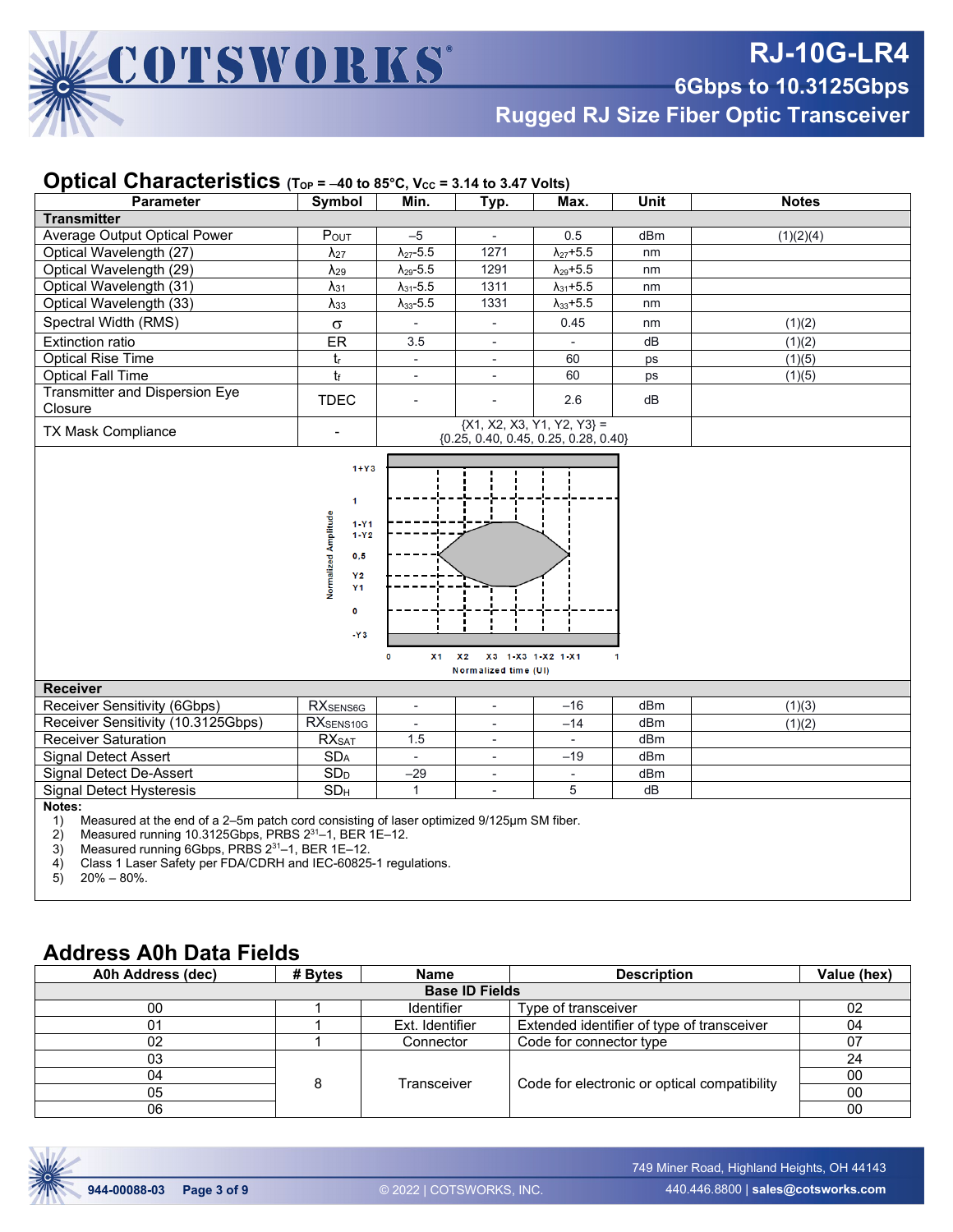

**6Gbps to 10.3125Gbps**

**Rugged RJ Size Fiber Optic Transceiver**

#### **Optical Characteristics** (Top = -40 to 85°C, Vcc = 3.14 to 3.47 Volts)

| <b>Parameter</b>                                                                                                                                                                                                                                                                                                                | Symbol                  | Min.                     | Typ.                                   | Max.                         | <b>Unit</b>     | <b>Notes</b> |  |  |
|---------------------------------------------------------------------------------------------------------------------------------------------------------------------------------------------------------------------------------------------------------------------------------------------------------------------------------|-------------------------|--------------------------|----------------------------------------|------------------------------|-----------------|--------------|--|--|
| <b>Transmitter</b>                                                                                                                                                                                                                                                                                                              |                         |                          |                                        |                              |                 |              |  |  |
| Average Output Optical Power                                                                                                                                                                                                                                                                                                    | POUT                    | $-5$                     | $\mathbf{r}$                           | 0.5                          | dBm             | (1)(2)(4)    |  |  |
| Optical Wavelength (27)                                                                                                                                                                                                                                                                                                         | $\lambda_{27}$          | $\lambda_{27}$ -5.5      | 1271                                   | $\lambda_{27} + 5.5$         | nm              |              |  |  |
| Optical Wavelength (29)                                                                                                                                                                                                                                                                                                         | $\lambda_{29}$          | $\lambda_{29}$ -5.5      | 1291                                   | $\lambda_{29}$ +5.5          | nm              |              |  |  |
| Optical Wavelength (31)                                                                                                                                                                                                                                                                                                         | $\lambda$ <sub>31</sub> | $\lambda_{31}$ -5.5      | 1311                                   | $\lambda_{31} + 5.5$         | nm              |              |  |  |
| Optical Wavelength (33)                                                                                                                                                                                                                                                                                                         | $\lambda_{33}$          | $\lambda_{33}$ -5.5      | 1331                                   | $\lambda_{33} + 5.5$         | nm              |              |  |  |
| Spectral Width (RMS)                                                                                                                                                                                                                                                                                                            | $\sigma$                | ÷,                       | $\blacksquare$                         | 0.45                         | nm              | (1)(2)       |  |  |
| <b>Extinction ratio</b>                                                                                                                                                                                                                                                                                                         | ER                      | 3.5                      | $\overline{\phantom{a}}$               | ÷,                           | dB              | (1)(2)       |  |  |
| <b>Optical Rise Time</b>                                                                                                                                                                                                                                                                                                        | $t_{\rm r}$             | $\overline{\phantom{a}}$ | $\overline{\phantom{a}}$               | 60                           | ps              | (1)(5)       |  |  |
| <b>Optical Fall Time</b>                                                                                                                                                                                                                                                                                                        | tr                      | $\overline{\phantom{a}}$ | $\overline{a}$                         | 60                           | ps              | (1)(5)       |  |  |
| <b>Transmitter and Dispersion Eye</b><br>Closure                                                                                                                                                                                                                                                                                | <b>TDEC</b>             | $\overline{a}$           |                                        | 2.6                          | dB              |              |  |  |
| <b>TX Mask Compliance</b>                                                                                                                                                                                                                                                                                                       |                         |                          | ${0.25, 0.40, 0.45, 0.25, 0.28, 0.40}$ | ${X1, X2, X3, Y1, Y2, Y3} =$ |                 |              |  |  |
| $1+Y3$<br>$\mathbf{1}$<br>Normalized Amplitude<br>$1 - Y1$<br>$1 - Y2$<br>0,5<br>Y <sub>2</sub><br><b>Y1</b><br>$\bullet$<br>$-Y3$<br>X <sub>1</sub><br>X3 1-X3 1-X2 1-X1<br>X <sub>2</sub><br>0<br>Normalized time (UI)<br><b>Receiver</b>                                                                                     |                         |                          |                                        |                              |                 |              |  |  |
| Receiver Sensitivity (6Gbps)                                                                                                                                                                                                                                                                                                    | <b>RXSENS6G</b>         | $\overline{\phantom{a}}$ | $\overline{\phantom{a}}$               | $-16$                        | dBm             | (1)(3)       |  |  |
| Receiver Sensitivity (10.3125Gbps)                                                                                                                                                                                                                                                                                              | RX <sub>SENS10G</sub>   | $\overline{\phantom{a}}$ | $\overline{\phantom{a}}$               | $-14$                        | dB <sub>m</sub> | (1)(2)       |  |  |
| <b>Receiver Saturation</b>                                                                                                                                                                                                                                                                                                      | <b>RX</b> SAT           | 1.5                      | $\overline{\phantom{a}}$               | $\overline{\phantom{a}}$     | dBm             |              |  |  |
| <b>Signal Detect Assert</b>                                                                                                                                                                                                                                                                                                     | SD <sub>A</sub>         | $\blacksquare$           | $\overline{\phantom{a}}$               | $-19$                        | dBm             |              |  |  |
| Signal Detect De-Assert                                                                                                                                                                                                                                                                                                         | SD <sub>D</sub>         | $-29$                    | $\overline{\phantom{a}}$               | L.                           | dBm             |              |  |  |
| <b>Signal Detect Hysteresis</b>                                                                                                                                                                                                                                                                                                 | SD <sub>H</sub>         | $\mathbf{1}$             | $\blacksquare$                         | 5                            | dB              |              |  |  |
| Notes:<br>Measured at the end of a 2-5m patch cord consisting of laser optimized 9/125µm SM fiber.<br>1)<br>Measured running 10.3125Gbps, PRBS 231-1, BER 1E-12.<br>2)<br>3)<br>Measured running 6Gbps, PRBS 231-1, BER 1E-12.<br>Class 1 Laser Safety per FDA/CDRH and IEC-60825-1 regulations.<br>4)<br>$20\% - 80\%$ .<br>5) |                         |                          |                                        |                              |                 |              |  |  |

### **Address A0h Data Fields**

| A0h Address (dec)     | # Bytes | <b>Name</b>       | <b>Description</b>                           |    |  |  |  |  |
|-----------------------|---------|-------------------|----------------------------------------------|----|--|--|--|--|
| <b>Base ID Fields</b> |         |                   |                                              |    |  |  |  |  |
| 00                    |         | <b>Identifier</b> | Type of transceiver                          | 02 |  |  |  |  |
| 01                    |         | Ext. Identifier   | Extended identifier of type of transceiver   | 04 |  |  |  |  |
| 02                    |         | Connector         | Code for connector type                      | 07 |  |  |  |  |
| 03                    |         |                   |                                              | 24 |  |  |  |  |
| 04                    | 8       | Transceiver       |                                              | 00 |  |  |  |  |
| 05                    |         |                   | Code for electronic or optical compatibility | 00 |  |  |  |  |
| 06                    |         |                   |                                              | 00 |  |  |  |  |

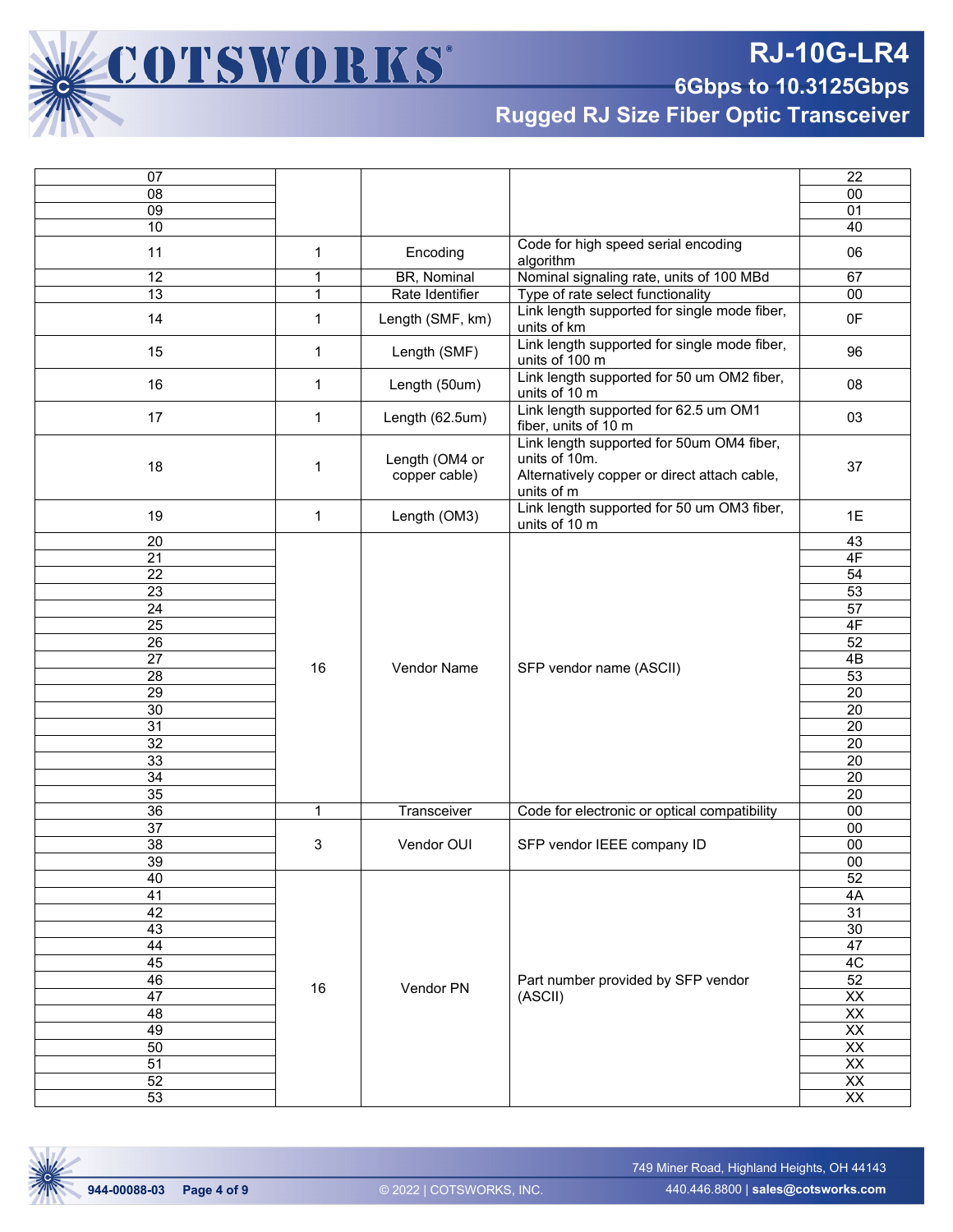**RJ-10G-LR4**

**6Gbps to 10.3125Gbps**

**Rugged RJ Size Fiber Optic Transceiver**

| 07              |              |                    |                                              | 22              |
|-----------------|--------------|--------------------|----------------------------------------------|-----------------|
| 08              |              |                    |                                              | 00              |
| 09              |              |                    |                                              | 01              |
| 10              |              |                    |                                              | 40              |
|                 |              |                    | Code for high speed serial encoding          |                 |
| 11              | $\mathbf{1}$ | Encoding           | algorithm                                    | 06              |
| 12              | 1            | BR, Nominal        | Nominal signaling rate, units of 100 MBd     | 67              |
| 13              | $\mathbf 1$  | Rate Identifier    | Type of rate select functionality            | $00\,$          |
|                 |              |                    | Link length supported for single mode fiber, |                 |
| 14              | $\mathbf{1}$ | Length (SMF, km)   | units of km                                  | 0F              |
|                 |              |                    | Link length supported for single mode fiber, |                 |
| 15              | $\mathbf{1}$ | Length (SMF)       | units of 100 m                               | 96              |
|                 |              |                    | Link length supported for 50 um OM2 fiber,   |                 |
| 16              | $\mathbf{1}$ | Length (50um)      | units of 10 m                                | 08              |
|                 |              |                    | Link length supported for 62.5 um OM1        |                 |
| 17              | $\mathbf{1}$ | Length (62.5um)    | fiber, units of 10 m                         | 03              |
|                 |              |                    | Link length supported for 50um OM4 fiber,    |                 |
| 18              | 1            | Length (OM4 or     | units of 10m.                                | 37              |
|                 |              | copper cable)      | Alternatively copper or direct attach cable, |                 |
|                 |              |                    | units of m                                   |                 |
| 19              | $\mathbf{1}$ | Length (OM3)       | Link length supported for 50 um OM3 fiber,   | 1E              |
|                 |              |                    | units of 10 m                                |                 |
| 20              |              |                    |                                              | 43              |
| $\overline{21}$ |              |                    |                                              | 4F              |
| 22              |              |                    |                                              | 54              |
| $\overline{23}$ |              |                    |                                              | 53              |
| $\overline{24}$ |              |                    |                                              | $\overline{57}$ |
| $\overline{25}$ |              |                    |                                              | 4F              |
| 26              |              |                    |                                              | $\overline{52}$ |
| $\overline{27}$ |              |                    |                                              | 4B              |
| 28              | 16           | <b>Vendor Name</b> | SFP vendor name (ASCII)                      | 53              |
| 29              |              |                    |                                              | $\overline{20}$ |
| 30              |              |                    |                                              | 20              |
| 31              |              |                    |                                              | $\overline{20}$ |
| 32              |              |                    |                                              | 20              |
| 33              |              |                    |                                              | 20              |
| 34              |              |                    |                                              | 20              |
| 35              |              |                    |                                              | $\overline{20}$ |
| $\overline{36}$ | $\mathbf{1}$ | Transceiver        | Code for electronic or optical compatibility | 00              |
| $\overline{37}$ |              |                    |                                              | 00              |
| 38              | 3            | Vendor OUI         | SFP vendor IEEE company ID                   | 00              |
| $\overline{39}$ |              |                    |                                              | $\overline{00}$ |
|                 |              |                    |                                              | 52              |
| 40              |              |                    |                                              |                 |
| 41              |              |                    |                                              | 4A              |
| 42              |              |                    |                                              | 31              |
| 43              |              |                    |                                              | $\overline{30}$ |
| 44              |              |                    |                                              | 47              |
| 45              |              |                    |                                              | 4C              |
| 46              | 16           | Vendor PN          | Part number provided by SFP vendor           | $\overline{52}$ |
| 47              |              |                    | (ASCII)                                      | $\overline{XX}$ |
| 48              |              |                    |                                              | $\overline{XX}$ |
| 49              |              |                    |                                              | $\overline{XX}$ |
| 50              |              |                    |                                              | $\overline{XX}$ |
| $\overline{51}$ |              |                    |                                              | $\overline{XX}$ |
| 52              |              |                    |                                              | $\overline{XX}$ |
| 53              |              |                    |                                              | $\overline{XX}$ |

COTSWORKS®

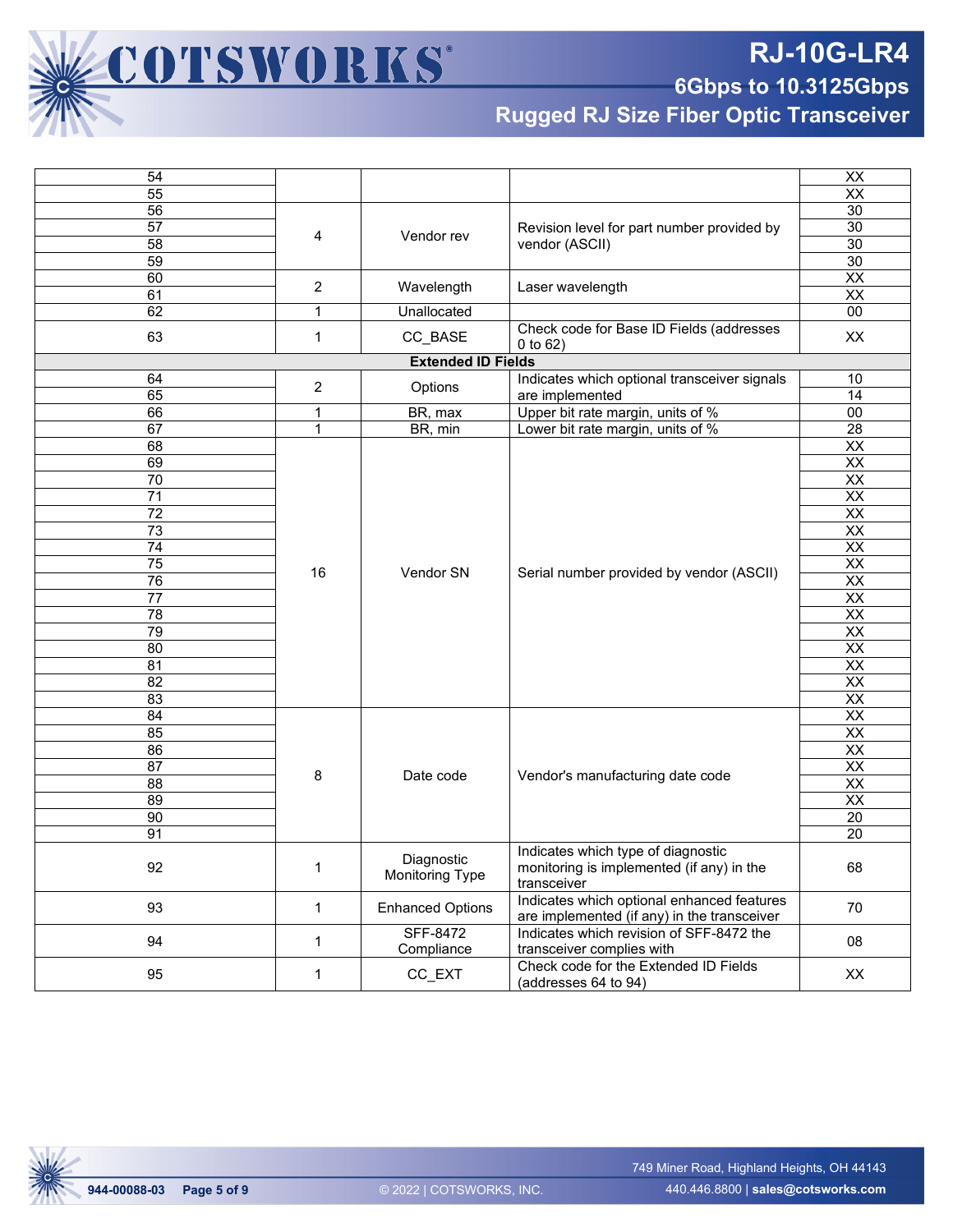

**6Gbps to 10.3125Gbps**

**Rugged RJ Size Fiber Optic Transceiver**

| 54                                                 |              |                                      |                                                                                           | XX                       |
|----------------------------------------------------|--------------|--------------------------------------|-------------------------------------------------------------------------------------------|--------------------------|
| 55                                                 |              |                                      |                                                                                           | $\overline{XX}$          |
| 56                                                 |              |                                      |                                                                                           | 30                       |
| 57                                                 |              |                                      | Revision level for part number provided by                                                | 30                       |
| 58                                                 | 4            | Vendor rev                           | vendor (ASCII)                                                                            | 30                       |
| 59                                                 |              |                                      |                                                                                           | 30                       |
| 60                                                 |              |                                      |                                                                                           | $\overline{XX}$          |
| 61                                                 | 2            | Wavelength                           | Laser wavelength                                                                          | $\overline{\mathsf{XX}}$ |
| 62                                                 | 1            | Unallocated                          |                                                                                           | 00                       |
| 63                                                 | 1            | CC_BASE                              | Check code for Base ID Fields (addresses                                                  | XX                       |
|                                                    |              | <b>Extended ID Fields</b>            | 0 to 62)                                                                                  |                          |
| Indicates which optional transceiver signals<br>64 |              |                                      |                                                                                           |                          |
| 65                                                 | 2            | Options                              | are implemented                                                                           | 10<br>14                 |
| 66                                                 | 1            | BR, max                              | Upper bit rate margin, units of %                                                         | 00                       |
| 67                                                 | $\mathbf{1}$ | BR, min                              | Lower bit rate margin, units of %                                                         | $\overline{28}$          |
| 68                                                 |              |                                      |                                                                                           | $\overline{XX}$          |
| 69                                                 |              |                                      |                                                                                           | XX                       |
| 70                                                 |              |                                      |                                                                                           | $\overline{XX}$          |
| $\overline{71}$                                    |              |                                      |                                                                                           | $\overline{XX}$          |
| $\overline{72}$                                    |              |                                      |                                                                                           | $\overline{XX}$          |
| $\overline{73}$                                    |              |                                      |                                                                                           | $\overline{XX}$          |
| $\overline{74}$                                    |              | Vendor SN                            |                                                                                           | $\overline{XX}$          |
| 75                                                 |              |                                      |                                                                                           | $\overline{XX}$          |
| $\overline{76}$                                    | 16           |                                      | Serial number provided by vendor (ASCII)                                                  | $\overline{XX}$          |
| $\overline{77}$                                    |              |                                      |                                                                                           | $\overline{XX}$          |
| 78                                                 |              |                                      |                                                                                           | $\overline{XX}$          |
| 79                                                 |              |                                      |                                                                                           | XX                       |
| 80                                                 |              |                                      |                                                                                           | $\overline{XX}$          |
| 81                                                 |              |                                      |                                                                                           | $\overline{XX}$          |
| 82                                                 |              |                                      |                                                                                           | $\overline{XX}$          |
| 83                                                 |              |                                      |                                                                                           | $\overline{XX}$          |
| 84                                                 |              |                                      |                                                                                           | $\overline{XX}$          |
| 85                                                 |              |                                      |                                                                                           | $\overline{XX}$          |
| 86                                                 |              |                                      |                                                                                           | XX                       |
| 87                                                 |              |                                      |                                                                                           | $\overline{XX}$          |
| 88                                                 | 8            | Date code                            | Vendor's manufacturing date code                                                          | $\overline{XX}$          |
| 89                                                 |              |                                      |                                                                                           | $\overline{XX}$          |
| 90                                                 |              |                                      |                                                                                           | 20                       |
| 91                                                 |              |                                      |                                                                                           | 20                       |
|                                                    |              |                                      | Indicates which type of diagnostic                                                        |                          |
| 92                                                 | 1            | Diagnostic<br><b>Monitoring Type</b> | monitoring is implemented (if any) in the<br>transceiver                                  | 68                       |
| 93                                                 | $\mathbf 1$  | <b>Enhanced Options</b>              | Indicates which optional enhanced features<br>are implemented (if any) in the transceiver | 70                       |
| 94                                                 | 1            | <b>SFF-8472</b><br>Compliance        | Indicates which revision of SFF-8472 the<br>transceiver complies with                     | 08                       |
| 95                                                 | $\mathbf{1}$ | CC_EXT                               | Check code for the Extended ID Fields<br>(addresses 64 to 94)                             | XX                       |

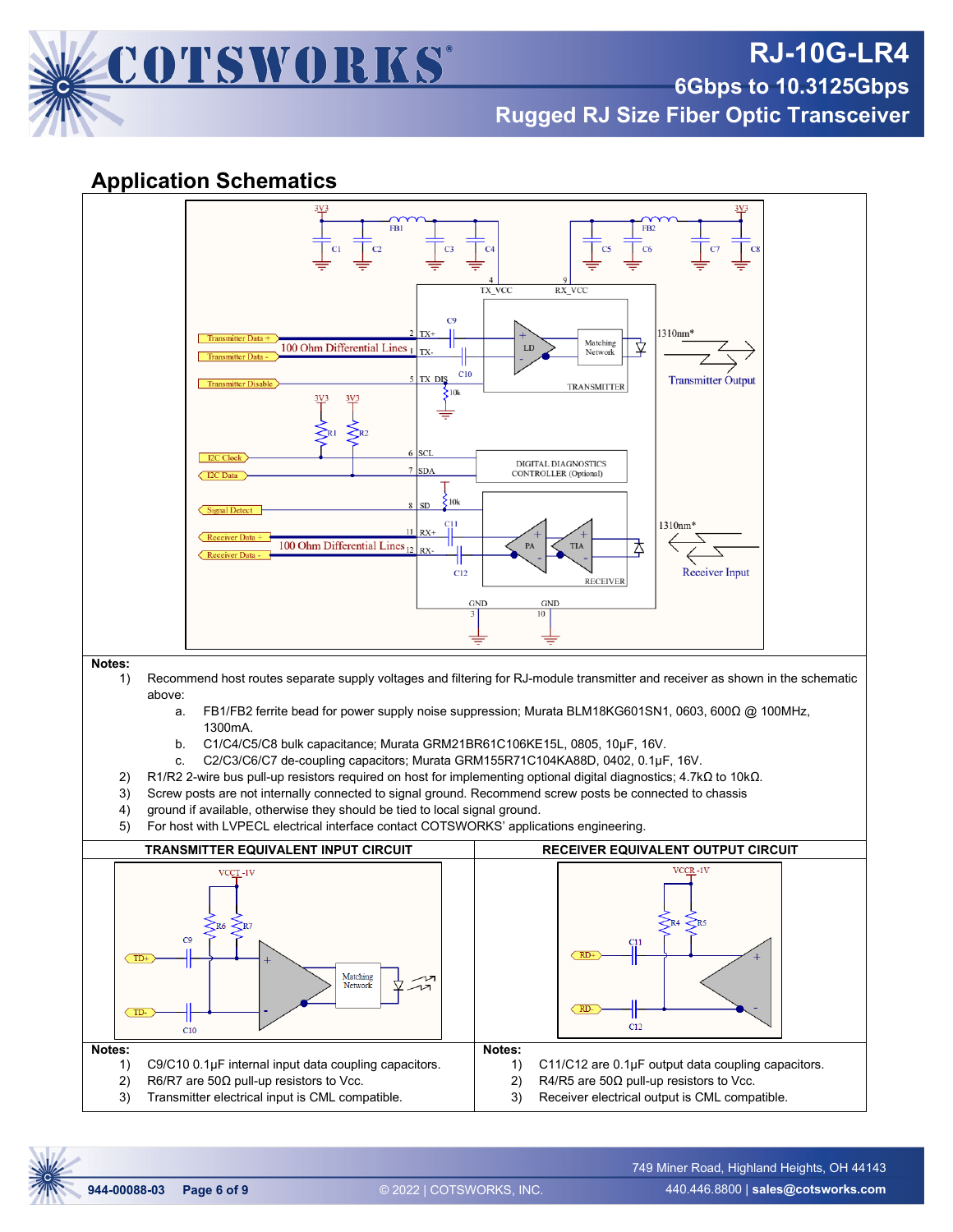

**Rugged RJ Size Fiber Optic Transceiver**

#### **Application Schematics**



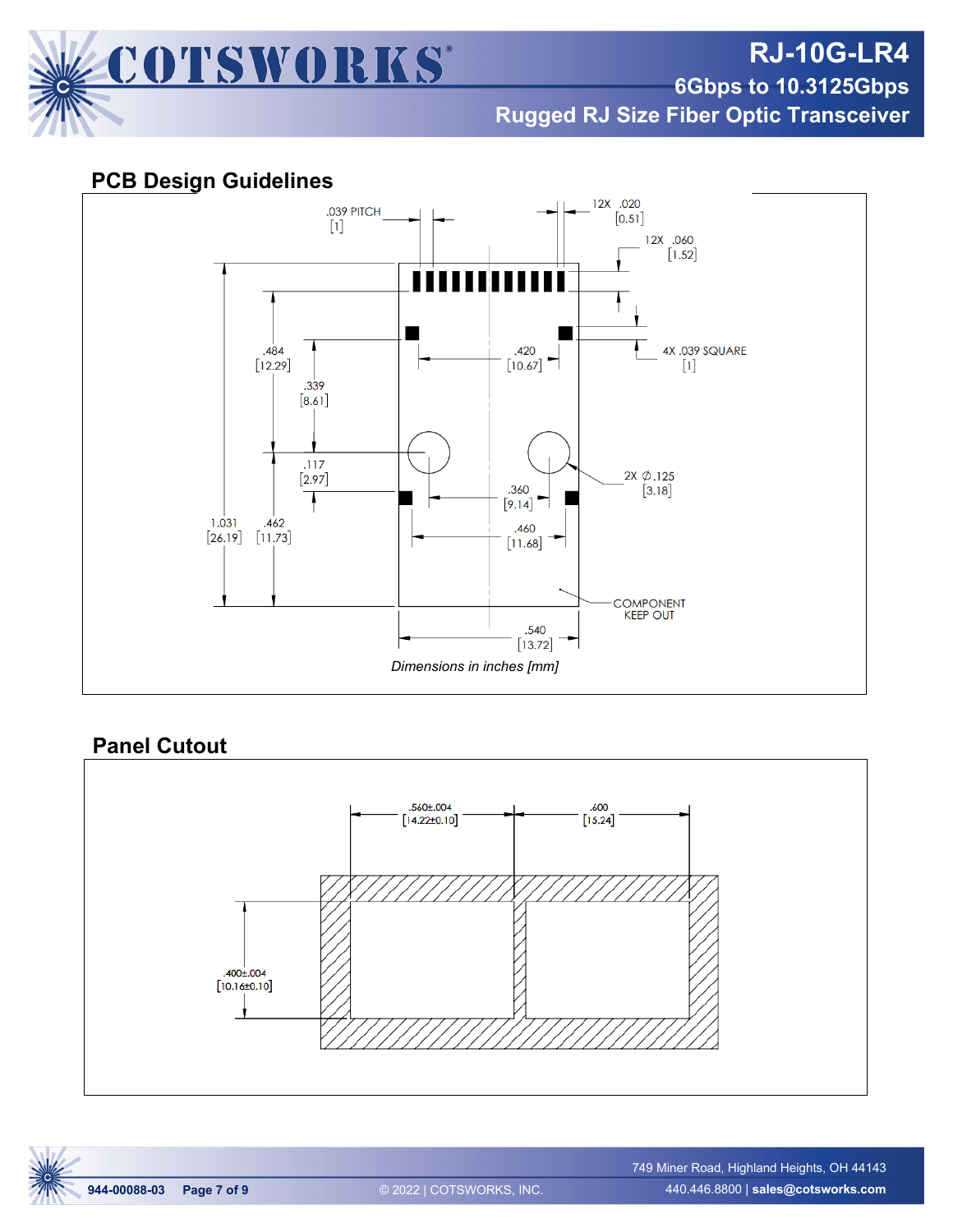

**RJ-10G-LR4**

**6Gbps to 10.3125Gbps**

**Rugged RJ Size Fiber Optic Transceiver**

#### **PCB Design Guidelines**



#### **Panel Cutout**



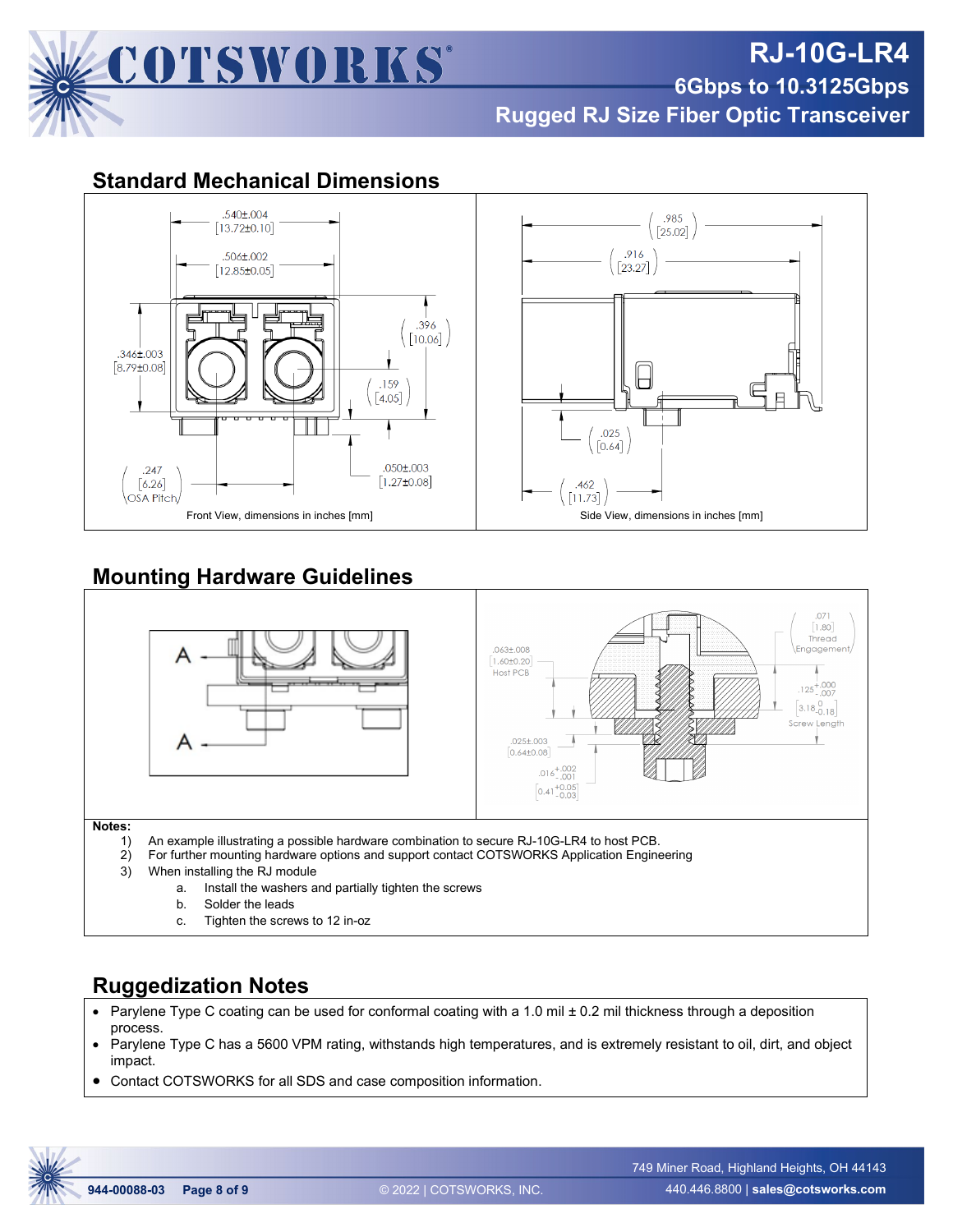

## **RJ-10G-LR4 6Gbps to 10.3125Gbps Rugged RJ Size Fiber Optic Transceiver**

#### **Standard Mechanical Dimensions**



### **Mounting Hardware Guidelines**



c. Tighten the screws to 12 in-oz

### **Ruggedization Notes**

- Parylene Type C coating can be used for conformal coating with a 1.0 mil ± 0.2 mil thickness through a deposition process.
- Parylene Type C has a 5600 VPM rating, withstands high temperatures, and is extremely resistant to oil, dirt, and object impact.
- Contact COTSWORKS for all SDS and case composition information.